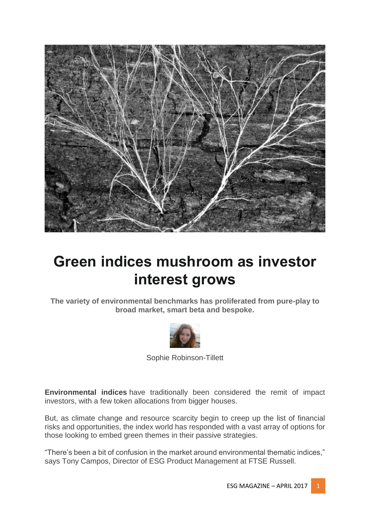

# **Green indices mushroom as investor interest grows**

**The variety of environmental benchmarks has proliferated from pure-play to broad market, smart beta and bespoke.**



Sophie Robinson-Tillett

**Environmental indices** have traditionally been considered the remit of impact investors, with a few token allocations from bigger houses.

But, as climate change and resource scarcity begin to creep up the list of financial risks and opportunities, the index world has responded with a vast array of options for those looking to embed green themes in their passive strategies.

"There's been a bit of confusion in the market around environmental thematic indices," says Tony Campos, Director of ESG Product Management at FTSE Russell.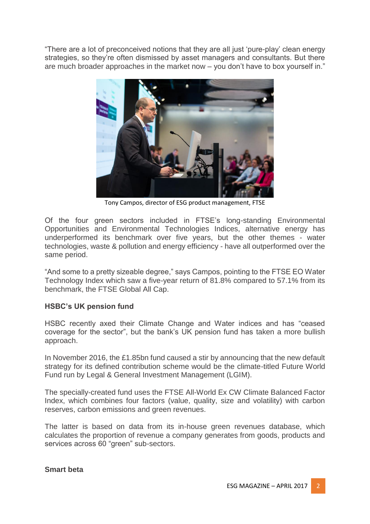"There are a lot of preconceived notions that they are all just 'pure-play' clean energy strategies, so they're often dismissed by asset managers and consultants. But there are much broader approaches in the market now – you don't have to box yourself in."



Tony Campos, director of ESG product management, FTSE

Of the four green sectors included in FTSE's long-standing Environmental Opportunities and Environmental Technologies Indices, alternative energy has underperformed its benchmark over five years, but the other themes - water technologies, waste & pollution and energy efficiency - have all outperformed over the same period.

"And some to a pretty sizeable degree," says Campos, pointing to the FTSE EO Water Technology Index which saw a five-year return of 81.8% compared to 57.1% from its benchmark, the FTSE Global All Cap.

# **HSBC's UK pension fund**

HSBC recently axed their Climate Change and Water indices and has "ceased coverage for the sector", but the bank's UK pension fund has taken a more bullish approach.

In November 2016, the £1.85bn fund caused a stir by announcing that the new default strategy for its defined contribution scheme would be the climate-titled Future World Fund run by Legal & General Investment Management (LGIM).

The specially-created fund uses the FTSE All-World Ex CW Climate Balanced Factor Index, which combines four factors (value, quality, size and volatility) with carbon reserves, carbon emissions and green revenues.

The latter is based on data from its in-house green revenues database, which calculates the proportion of revenue a company generates from goods, products and services across 60 "green" sub-sectors.

#### **Smart beta**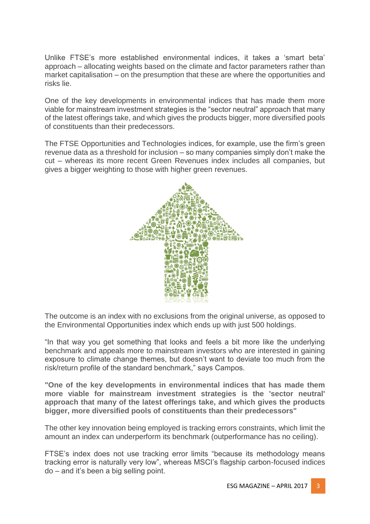Unlike FTSE's more established environmental indices, it takes a 'smart beta' approach – allocating weights based on the climate and factor parameters rather than market capitalisation – on the presumption that these are where the opportunities and risks lie.

One of the key developments in environmental indices that has made them more viable for mainstream investment strategies is the "sector neutral" approach that many of the latest offerings take, and which gives the products bigger, more diversified pools of constituents than their predecessors.

The FTSE Opportunities and Technologies indices, for example, use the firm's green revenue data as a threshold for inclusion – so many companies simply don't make the cut – whereas its more recent Green Revenues index includes all companies, but gives a bigger weighting to those with higher green revenues.



The outcome is an index with no exclusions from the original universe, as opposed to the Environmental Opportunities index which ends up with just 500 holdings.

"In that way you get something that looks and feels a bit more like the underlying benchmark and appeals more to mainstream investors who are interested in gaining exposure to climate change themes, but doesn't want to deviate too much from the risk/return profile of the standard benchmark," says Campos.

**"One of the key developments in environmental indices that has made them more viable for mainstream investment strategies is the 'sector neutral' approach that many of the latest offerings take, and which gives the products bigger, more diversified pools of constituents than their predecessors"**

The other key innovation being employed is tracking errors constraints, which limit the amount an index can underperform its benchmark (outperformance has no ceiling).

FTSE's index does not use tracking error limits "because its methodology means tracking error is naturally very low", whereas MSCI's flagship carbon-focused indices do – and it's been a big selling point.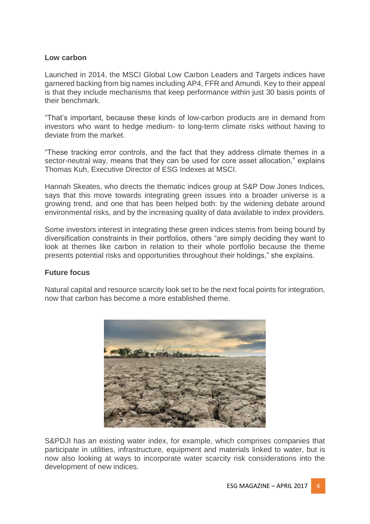# **Low carbon**

Launched in 2014, the MSCI Global Low Carbon Leaders and Targets indices have garnered backing from big names including AP4, FFR and Amundi. Key to their appeal is that they include mechanisms that keep performance within just 30 basis points of their benchmark.

"That's important, because these kinds of low-carbon products are in demand from investors who want to hedge medium- to long-term climate risks without having to deviate from the market.

"These tracking error controls, and the fact that they address climate themes in a sector-neutral way, means that they can be used for core asset allocation," explains Thomas Kuh, Executive Director of ESG Indexes at MSCI.

Hannah Skeates, who directs the thematic indices group at S&P Dow Jones Indices, says that this move towards integrating green issues into a broader universe is a growing trend, and one that has been helped both: by the widening debate around environmental risks, and by the increasing quality of data available to index providers.

Some investors interest in integrating these green indices stems from being bound by diversification constraints in their portfolios, others "are simply deciding they want to look at themes like carbon in relation to their whole portfolio because the theme presents potential risks and opportunities throughout their holdings," she explains.

### **Future focus**

Natural capital and resource scarcity look set to be the next focal points for integration, now that carbon has become a more established theme.



S&PDJI has an existing water index, for example, which comprises companies that participate in utilities, infrastructure, equipment and materials linked to water, but is now also looking at ways to incorporate water scarcity risk considerations into the development of new indices.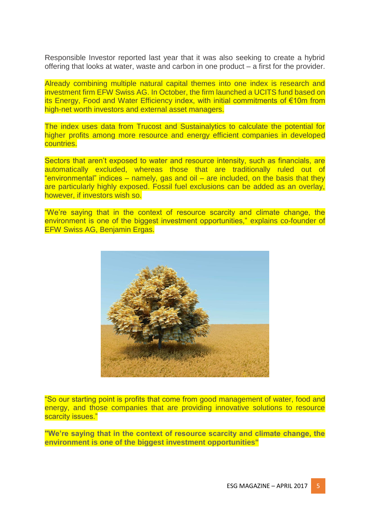Responsible Investor reported last year that it was also seeking to create a hybrid offering that looks at water, waste and carbon in one product – a first for the provider.

Already combining multiple natural capital themes into one index is research and investment firm EFW Swiss AG. In October, the firm launched a UCITS fund based on its Energy, Food and Water Efficiency index, with initial commitments of €10m from high-net worth investors and external asset managers.

The index uses data from Trucost and Sustainalytics to calculate the potential for higher profits among more resource and energy efficient companies in developed countries.

Sectors that aren't exposed to water and resource intensity, such as financials, are automatically excluded, whereas those that are traditionally ruled out of "environmental" indices – namely, gas and oil – are included, on the basis that they are particularly highly exposed. Fossil fuel exclusions can be added as an overlay, however, if investors wish so.

"We're saying that in the context of resource scarcity and climate change, the environment is one of the biggest investment opportunities," explains co-founder of EFW Swiss AG, Benjamin Ergas.



"So our starting point is profits that come from good management of water, food and energy, and those companies that are providing innovative solutions to resource scarcity issues."

**"We're saying that in the context of resource scarcity and climate change, the environment is one of the biggest investment opportunities"**